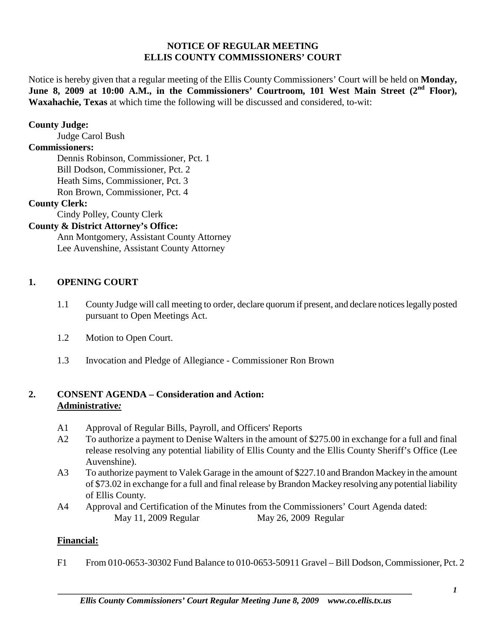### **NOTICE OF REGULAR MEETING ELLIS COUNTY COMMISSIONERS' COURT**

Notice is hereby given that a regular meeting of the Ellis County Commissioners' Court will be held on **Monday,**  June 8, 2009 at 10:00 A.M., in the Commissioners' Courtroom, 101 West Main Street (2<sup>nd</sup> Floor), **Waxahachie, Texas** at which time the following will be discussed and considered, to-wit:

## **County Judge:**

Judge Carol Bush

### **Commissioners:**

Dennis Robinson, Commissioner, Pct. 1 Bill Dodson, Commissioner, Pct. 2 Heath Sims, Commissioner, Pct. 3 Ron Brown, Commissioner, Pct. 4

#### **County Clerk:**

Cindy Polley, County Clerk

# **County & District Attorney's Office:**

Ann Montgomery, Assistant County Attorney Lee Auvenshine, Assistant County Attorney

#### **1. OPENING COURT**

- 1.1 County Judge will call meeting to order, declare quorum if present, and declare notices legally posted pursuant to Open Meetings Act.
- 1.2 Motion to Open Court.
- 1.3 Invocation and Pledge of Allegiance Commissioner Ron Brown

## **2. CONSENT AGENDA – Consideration and Action: Administrative***:*

- A1 Approval of Regular Bills, Payroll, and Officers' Reports
- A2 To authorize a payment to Denise Walters in the amount of \$275.00 in exchange for a full and final release resolving any potential liability of Ellis County and the Ellis County Sheriff's Office (Lee Auvenshine).
- A3 To authorize payment to Valek Garage in the amount of \$227.10 and Brandon Mackey in the amount of \$73.02 in exchange for a full and final release by Brandon Mackey resolving any potential liability of Ellis County.
- A4 Approval and Certification of the Minutes from the Commissioners' Court Agenda dated: May 11, 2009 Regular May 26, 2009 Regular

#### **Financial:**

F1 From 010-0653-30302 Fund Balance to 010-0653-50911 Gravel – Bill Dodson, Commissioner, Pct. 2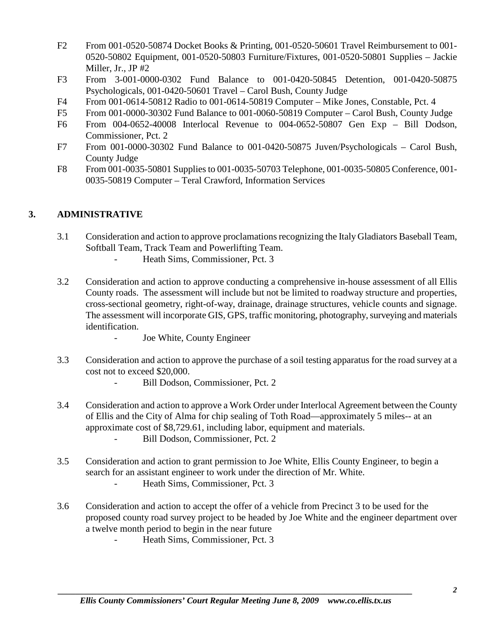- F2 From 001-0520-50874 Docket Books & Printing, 001-0520-50601 Travel Reimbursement to 001- 0520-50802 Equipment, 001-0520-50803 Furniture/Fixtures, 001-0520-50801 Supplies – Jackie Miller, Jr., JP #2
- F3 From 3-001-0000-0302 Fund Balance to 001-0420-50845 Detention, 001-0420-50875 Psychologicals, 001-0420-50601 Travel – Carol Bush, County Judge
- F4 From 001-0614-50812 Radio to 001-0614-50819 Computer Mike Jones, Constable, Pct. 4
- F5 From 001-0000-30302 Fund Balance to 001-0060-50819 Computer Carol Bush, County Judge
- F6 From 004-0652-40008 Interlocal Revenue to 004-0652-50807 Gen Exp Bill Dodson, Commissioner, Pct. 2
- F7 From 001-0000-30302 Fund Balance to 001-0420-50875 Juven/Psychologicals Carol Bush, County Judge
- F8 From 001-0035-50801 Supplies to 001-0035-50703 Telephone, 001-0035-50805 Conference, 001- 0035-50819 Computer – Teral Crawford, Information Services

## **3. ADMINISTRATIVE**

- 3.1 Consideration and action to approve proclamations recognizing the Italy Gladiators Baseball Team, Softball Team, Track Team and Powerlifting Team.
	- Heath Sims, Commissioner, Pct. 3
- 3.2 Consideration and action to approve conducting a comprehensive in-house assessment of all Ellis County roads. The assessment will include but not be limited to roadway structure and properties, cross-sectional geometry, right-of-way, drainage, drainage structures, vehicle counts and signage. The assessment will incorporate GIS, GPS, traffic monitoring, photography, surveying and materials identification.
	- Joe White, County Engineer
- 3.3 Consideration and action to approve the purchase of a soil testing apparatus for the road survey at a cost not to exceed \$20,000.
	- Bill Dodson, Commissioner, Pct. 2
- 3.4 Consideration and action to approve a Work Order under Interlocal Agreement between the County of Ellis and the City of Alma for chip sealing of Toth Road—approximately 5 miles-- at an approximate cost of \$8,729.61, including labor, equipment and materials. - Bill Dodson, Commissioner, Pct. 2
- 3.5 Consideration and action to grant permission to Joe White, Ellis County Engineer, to begin a search for an assistant engineer to work under the direction of Mr. White.
	- Heath Sims, Commissioner, Pct. 3
- 3.6 Consideration and action to accept the offer of a vehicle from Precinct 3 to be used for the proposed county road survey project to be headed by Joe White and the engineer department over a twelve month period to begin in the near future
	- Heath Sims, Commissioner, Pct. 3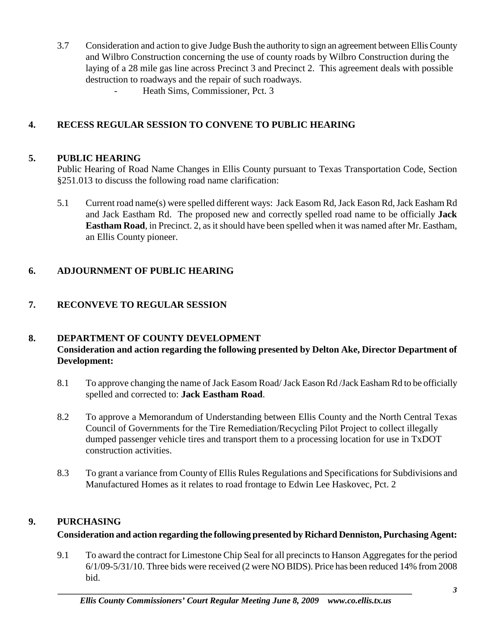- 3.7 Consideration and action to give Judge Bush the authority to sign an agreement between Ellis County and Wilbro Construction concerning the use of county roads by Wilbro Construction during the laying of a 28 mile gas line across Precinct 3 and Precinct 2. This agreement deals with possible destruction to roadways and the repair of such roadways.
	- Heath Sims, Commissioner, Pct. 3

# **4. RECESS REGULAR SESSION TO CONVENE TO PUBLIC HEARING**

## **5. PUBLIC HEARING**

Public Hearing of Road Name Changes in Ellis County pursuant to Texas Transportation Code, Section §251.013 to discuss the following road name clarification:

5.1 Current road name(s) were spelled different ways: Jack Easom Rd, Jack Eason Rd, Jack Easham Rd and Jack Eastham Rd. The proposed new and correctly spelled road name to be officially **Jack Eastham Road**, in Precinct. 2, as it should have been spelled when it was named after Mr. Eastham, an Ellis County pioneer.

# **6. ADJOURNMENT OF PUBLIC HEARING**

# **7. RECONVEVE TO REGULAR SESSION**

## **8. DEPARTMENT OF COUNTY DEVELOPMENT Consideration and action regarding the following presented by Delton Ake, Director Department of Development:**

- 8.1 To approve changing the name of Jack Easom Road/ Jack Eason Rd /Jack Easham Rd to be officially spelled and corrected to: **Jack Eastham Road**.
- 8.2 To approve a Memorandum of Understanding between Ellis County and the North Central Texas Council of Governments for the Tire Remediation/Recycling Pilot Project to collect illegally dumped passenger vehicle tires and transport them to a processing location for use in TxDOT construction activities.
- 8.3 To grant a variance from County of Ellis Rules Regulations and Specifications for Subdivisions and Manufactured Homes as it relates to road frontage to Edwin Lee Haskovec, Pct. 2

# **9. PURCHASING**

# **Consideration and action regarding the following presented by Richard Denniston, Purchasing Agent:**

9.1 To award the contract for Limestone Chip Seal for all precincts to Hanson Aggregates for the period 6/1/09-5/31/10. Three bids were received (2 were NO BIDS). Price has been reduced 14% from 2008 bid.